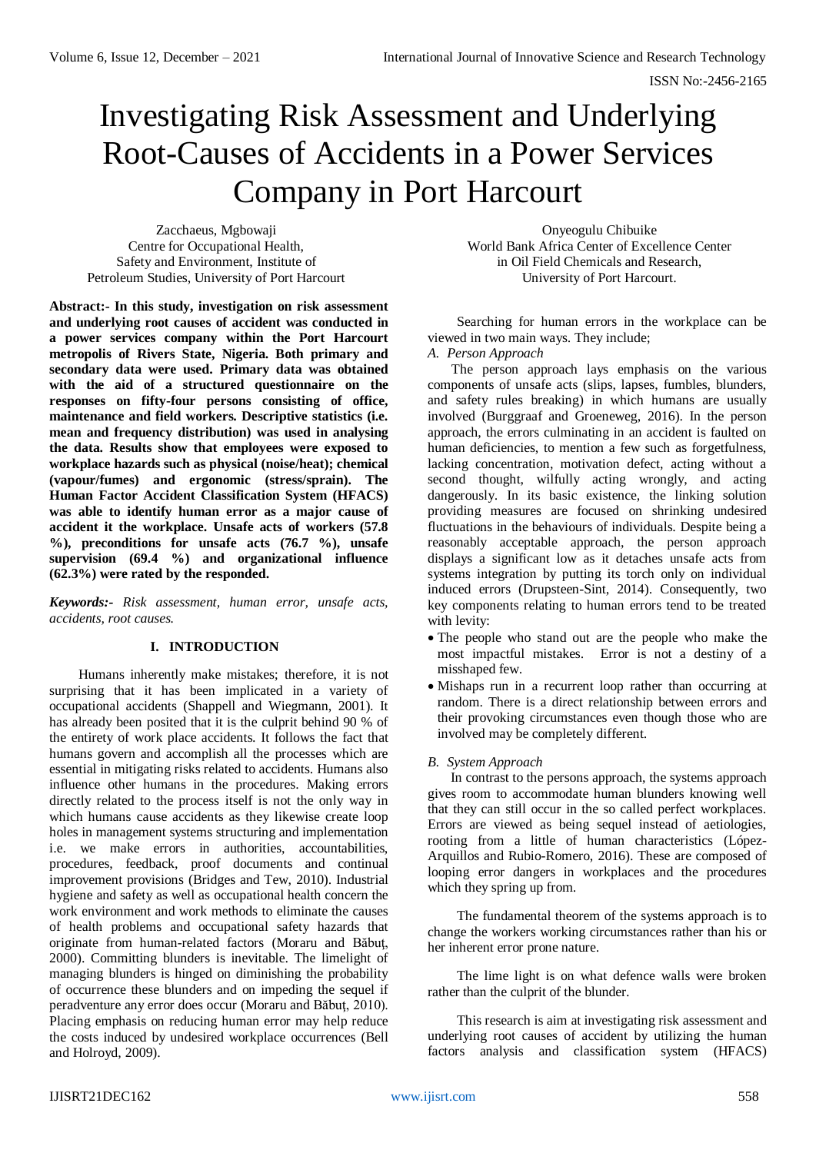# Investigating Risk Assessment and Underlying Root-Causes of Accidents in a Power Services Company in Port Harcourt

Zacchaeus, Mgbowaji Centre for Occupational Health, Safety and Environment, Institute of Petroleum Studies, University of Port Harcourt

**Abstract:- In this study, investigation on risk assessment and underlying root causes of accident was conducted in a power services company within the Port Harcourt metropolis of Rivers State, Nigeria. Both primary and secondary data were used. Primary data was obtained with the aid of a structured questionnaire on the responses on fifty-four persons consisting of office, maintenance and field workers. Descriptive statistics (i.e. mean and frequency distribution) was used in analysing the data. Results show that employees were exposed to workplace hazards such as physical (noise/heat); chemical (vapour/fumes) and ergonomic (stress/sprain). The Human Factor Accident Classification System (HFACS) was able to identify human error as a major cause of accident it the workplace. Unsafe acts of workers (57.8 %), preconditions for unsafe acts (76.7 %), unsafe supervision (69.4 %) and organizational influence (62.3%) were rated by the responded.** 

*Keywords:- Risk assessment, human error, unsafe acts, accidents, root causes.*

## **I. INTRODUCTION**

Humans inherently make mistakes; therefore, it is not surprising that it has been implicated in a variety of occupational accidents (Shappell and Wiegmann, 2001). It has already been posited that it is the culprit behind 90 % of the entirety of work place accidents. It follows the fact that humans govern and accomplish all the processes which are essential in mitigating risks related to accidents. Humans also influence other humans in the procedures. Making errors directly related to the process itself is not the only way in which humans cause accidents as they likewise create loop holes in management systems structuring and implementation i.e. we make errors in authorities, accountabilities, procedures, feedback, proof documents and continual improvement provisions (Bridges and Tew, 2010). Industrial hygiene and safety as well as occupational health concern the work environment and work methods to eliminate the causes of health problems and occupational safety hazards that originate from human-related factors (Moraru and Băbuţ, 2000). Committing blunders is inevitable. The limelight of managing blunders is hinged on diminishing the probability of occurrence these blunders and on impeding the sequel if peradventure any error does occur (Moraru and Băbuţ, 2010). Placing emphasis on reducing human error may help reduce the costs induced by undesired workplace occurrences (Bell and Holroyd, 2009).

Onyeogulu Chibuike World Bank Africa Center of Excellence Center in Oil Field Chemicals and Research, University of Port Harcourt.

Searching for human errors in the workplace can be viewed in two main ways. They include;

## *A. Person Approach*

 The person approach lays emphasis on the various components of unsafe acts (slips, lapses, fumbles, blunders, and safety rules breaking) in which humans are usually involved (Burggraaf and Groeneweg, 2016). In the person approach, the errors culminating in an accident is faulted on human deficiencies, to mention a few such as forgetfulness, lacking concentration, motivation defect, acting without a second thought, wilfully acting wrongly, and acting dangerously. In its basic existence, the linking solution providing measures are focused on shrinking undesired fluctuations in the behaviours of individuals. Despite being a reasonably acceptable approach, the person approach displays a significant low as it detaches unsafe acts from systems integration by putting its torch only on individual induced errors (Drupsteen-Sint, 2014). Consequently, two key components relating to human errors tend to be treated with levity:

- The people who stand out are the people who make the most impactful mistakes. Error is not a destiny of a misshaped few.
- Mishaps run in a recurrent loop rather than occurring at random. There is a direct relationship between errors and their provoking circumstances even though those who are involved may be completely different.

## *B. System Approach*

In contrast to the persons approach, the systems approach gives room to accommodate human blunders knowing well that they can still occur in the so called perfect workplaces. Errors are viewed as being sequel instead of aetiologies, rooting from a little of human characteristics (López-Arquillos and Rubio-Romero, 2016). These are composed of looping error dangers in workplaces and the procedures which they spring up from.

The fundamental theorem of the systems approach is to change the workers working circumstances rather than his or her inherent error prone nature.

The lime light is on what defence walls were broken rather than the culprit of the blunder.

This research is aim at investigating risk assessment and underlying root causes of accident by utilizing the human factors analysis and classification system (HFACS)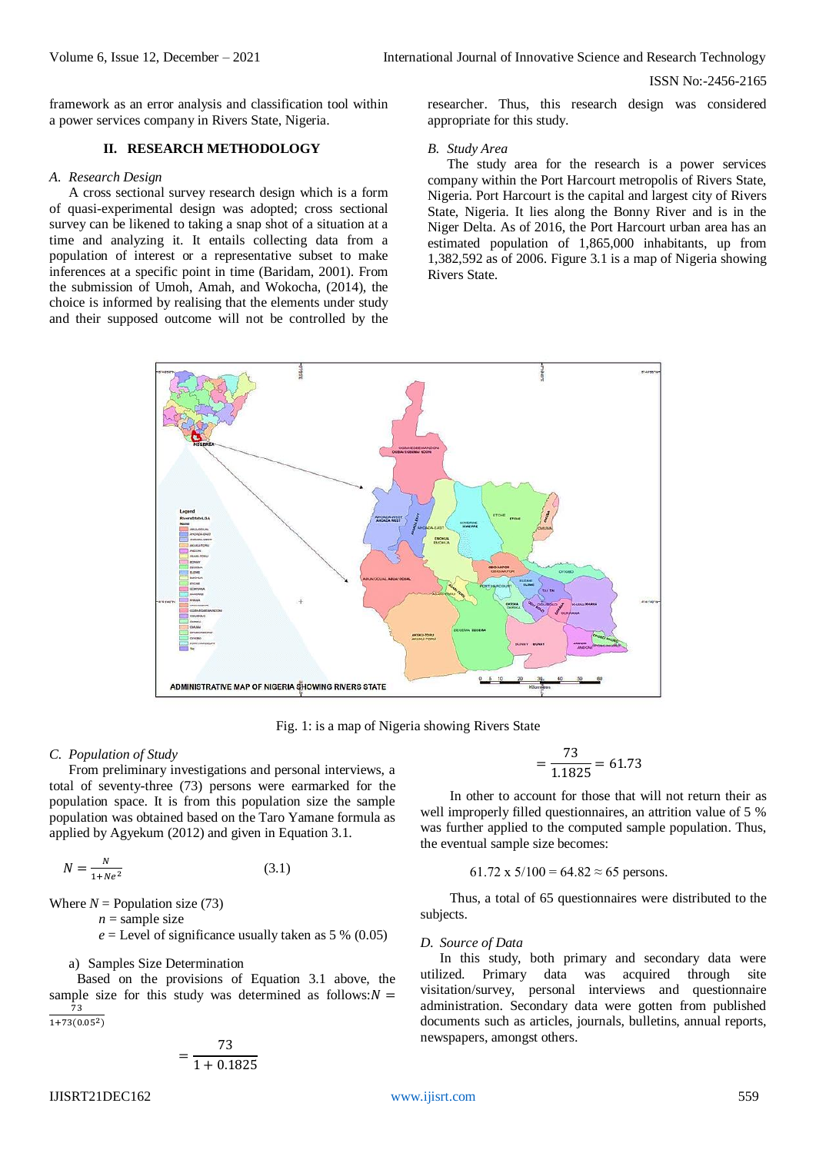framework as an error analysis and classification tool within a power services company in Rivers State, Nigeria.

## **II. RESEARCH METHODOLOGY**

#### *A. Research Design*

A cross sectional survey research design which is a form of quasi-experimental design was adopted; cross sectional survey can be likened to taking a snap shot of a situation at a time and analyzing it. It entails collecting data from a population of interest or a representative subset to make inferences at a specific point in time (Baridam, 2001). From the submission of Umoh, Amah, and Wokocha, (2014), the choice is informed by realising that the elements under study and their supposed outcome will not be controlled by the

researcher. Thus, this research design was considered appropriate for this study.

### *B. Study Area*

The study area for the research is a power services company within the Port Harcourt metropolis of Rivers State, Nigeria. Port Harcourt is the capital and largest city of Rivers State, Nigeria. It lies along the Bonny River and is in the Niger Delta. As of 2016, the Port Harcourt urban area has an estimated population of 1,865,000 inhabitants, up from 1,382,592 as of 2006. Figure 3.1 is a map of Nigeria showing Rivers State.



Fig. 1: is a map of Nigeria showing Rivers State

### *C. Population of Study*

From preliminary investigations and personal interviews, a total of seventy-three (73) persons were earmarked for the population space. It is from this population size the sample population was obtained based on the Taro Yamane formula as applied by Agyekum (2012) and given in Equation 3.1.

$$
N = \frac{N}{1 + Ne^2} \tag{3.1}
$$

=

Where  $N =$  Population size (73)

 $n =$ sample size

 $e =$  Level of significance usually taken as 5 % (0.05)

#### a) Samples Size Determination

 Based on the provisions of Equation 3.1 above, the sample size for this study was determined as follows: $N =$ 73  $\overline{1+73(0.05^2)}$ 

$$
=\frac{73}{1+0.1825}
$$

$$
=\frac{73}{1.1825} = 61.73
$$

In other to account for those that will not return their as well improperly filled questionnaires, an attrition value of 5 % was further applied to the computed sample population. Thus, the eventual sample size becomes:

#### 61.72 x  $5/100 = 64.82 \approx 65$  persons.

Thus, a total of 65 questionnaires were distributed to the subjects.

#### *D. Source of Data*

In this study, both primary and secondary data were utilized. Primary data was acquired through site visitation/survey, personal interviews and questionnaire administration. Secondary data were gotten from published documents such as articles, journals, bulletins, annual reports, newspapers, amongst others.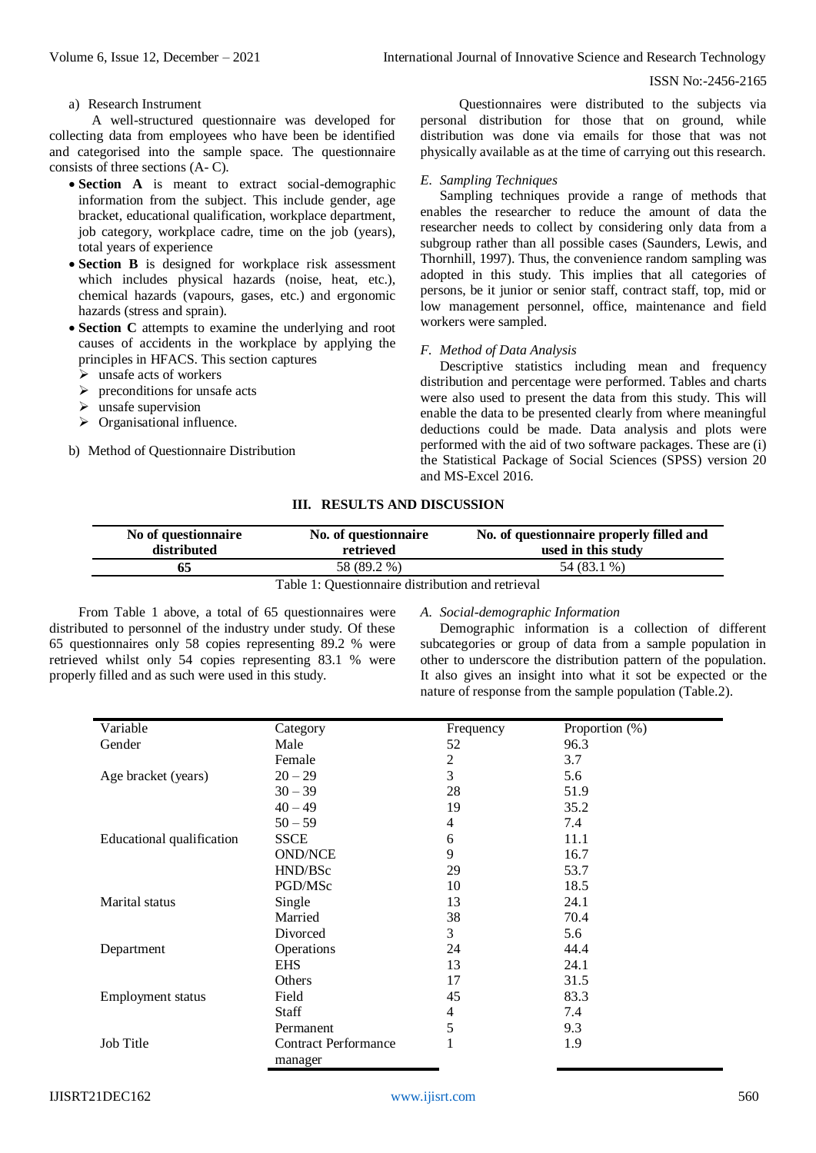a) Research Instrument

A well-structured questionnaire was developed for collecting data from employees who have been be identified and categorised into the sample space. The questionnaire consists of three sections (A- C).

- **Section** A is meant to extract social-demographic information from the subject. This include gender, age bracket, educational qualification, workplace department, job category, workplace cadre, time on the job (years), total years of experience
- **Section B** is designed for workplace risk assessment which includes physical hazards (noise, heat, etc.), chemical hazards (vapours, gases, etc.) and ergonomic hazards (stress and sprain).
- **Section C** attempts to examine the underlying and root causes of accidents in the workplace by applying the principles in HFACS. This section captures
	- $\triangleright$  unsafe acts of workers
	- $\triangleright$  preconditions for unsafe acts
	- $\triangleright$  unsafe supervision
	- $\triangleright$  Organisational influence.
- b) Method of Questionnaire Distribution

Questionnaires were distributed to the subjects via personal distribution for those that on ground, while distribution was done via emails for those that was not physically available as at the time of carrying out this research.

#### *E. Sampling Techniques*

Sampling techniques provide a range of methods that enables the researcher to reduce the amount of data the researcher needs to collect by considering only data from a subgroup rather than all possible cases (Saunders, Lewis, and Thornhill, 1997). Thus, the convenience random sampling was adopted in this study. This implies that all categories of persons, be it junior or senior staff, contract staff, top, mid or low management personnel, office, maintenance and field workers were sampled.

## *F. Method of Data Analysis*

Descriptive statistics including mean and frequency distribution and percentage were performed. Tables and charts were also used to present the data from this study. This will enable the data to be presented clearly from where meaningful deductions could be made. Data analysis and plots were performed with the aid of two software packages. These are (i) the Statistical Package of Social Sciences (SPSS) version 20 and MS-Excel 2016.

#### **III. RESULTS AND DISCUSSION**

| No of questionnaire<br>distributed | No. of questionnaire<br>retrieved                 | No. of questionnaire properly filled and<br>used in this study |
|------------------------------------|---------------------------------------------------|----------------------------------------------------------------|
| 65                                 | 58 (89.2 %)                                       | 54 (83.1 %)                                                    |
|                                    | Table 1: Questionnaire distribution and retrieval |                                                                |

Table 1: Questionnaire distribution and retrieval

From Table 1 above, a total of 65 questionnaires were distributed to personnel of the industry under study. Of these 65 questionnaires only 58 copies representing 89.2 % were retrieved whilst only 54 copies representing 83.1 % were properly filled and as such were used in this study.

### *A. Social-demographic Information*

Demographic information is a collection of different subcategories or group of data from a sample population in other to underscore the distribution pattern of the population. It also gives an insight into what it sot be expected or the nature of response from the sample population (Table.2).

| Variable                  | Category                               | Frequency | Proportion (%) |
|---------------------------|----------------------------------------|-----------|----------------|
| Gender                    | Male                                   | 52        | 96.3           |
|                           | Female                                 | 2         | 3.7            |
| Age bracket (years)       | $20 - 29$                              | 3         | 5.6            |
|                           | $30 - 39$                              | 28        | 51.9           |
|                           | $40 - 49$                              | 19        | 35.2           |
|                           | $50 - 59$                              | 4         | 7.4            |
| Educational qualification | <b>SSCE</b>                            | 6         | 11.1           |
|                           | <b>OND/NCE</b>                         | 9         | 16.7           |
|                           | HND/BSc                                | 29        | 53.7           |
|                           | PGD/MSc                                | 10        | 18.5           |
| Marital status            | Single                                 | 13        | 24.1           |
|                           | Married                                | 38        | 70.4           |
|                           | Divorced                               | 3         | 5.6            |
| Department                | Operations                             | 24        | 44.4           |
|                           | <b>EHS</b>                             | 13        | 24.1           |
|                           | Others                                 | 17        | 31.5           |
| <b>Employment</b> status  | Field                                  | 45        | 83.3           |
|                           | Staff                                  | 4         | 7.4            |
|                           | Permanent                              | 5         | 9.3            |
| Job Title                 | <b>Contract Performance</b><br>manager |           | 1.9            |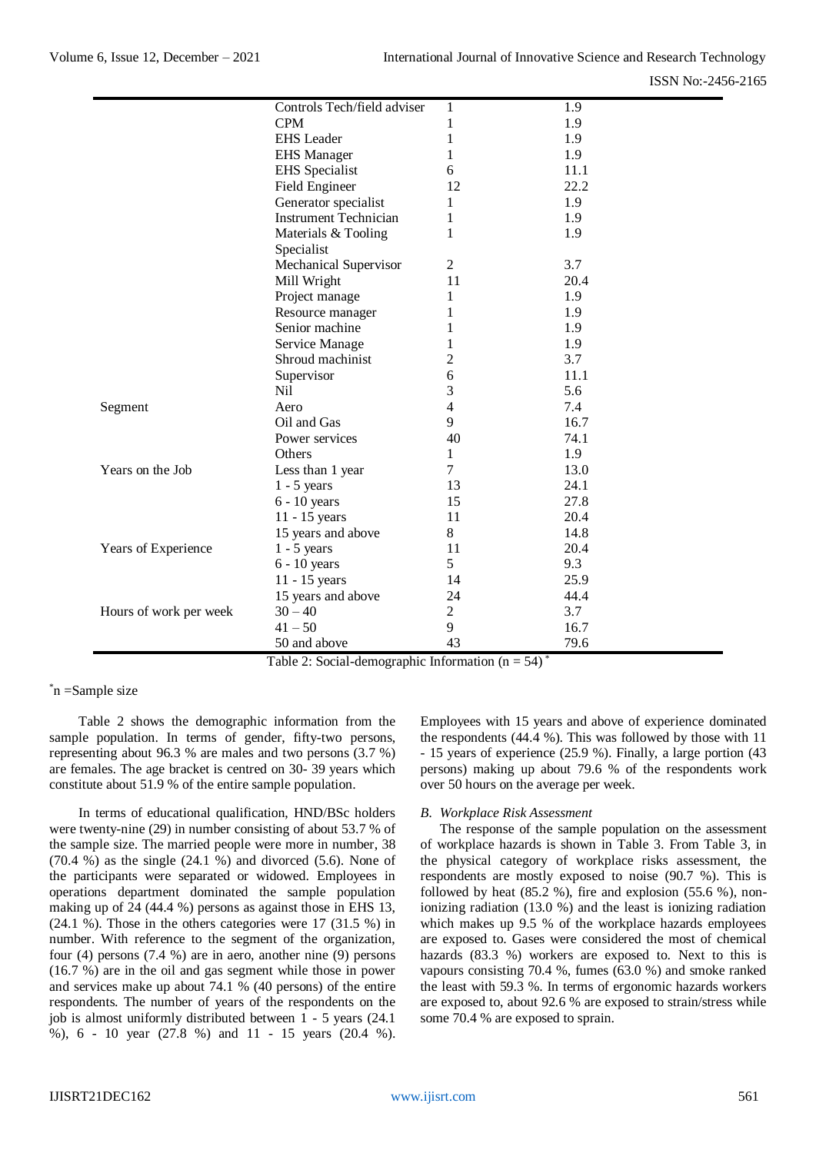|                        | Controls Tech/field adviser       |                | 1.9  |
|------------------------|-----------------------------------|----------------|------|
|                        | <b>CPM</b>                        | 1<br>1         | 1.9  |
|                        | <b>EHS</b> Leader                 |                |      |
|                        |                                   | 1              | 1.9  |
|                        | <b>EHS</b> Manager                | 1              | 1.9  |
|                        | <b>EHS</b> Specialist             | 6              | 11.1 |
|                        | <b>Field Engineer</b>             | 12             | 22.2 |
|                        | Generator specialist              | 1              | 1.9  |
|                        | <b>Instrument Technician</b>      | 1              | 1.9  |
|                        | Materials & Tooling<br>Specialist | 1              | 1.9  |
|                        | Mechanical Supervisor             | $\overline{2}$ | 3.7  |
|                        | Mill Wright                       | 11             | 20.4 |
|                        | Project manage                    | 1              | 1.9  |
|                        | Resource manager                  | 1              | 1.9  |
|                        | Senior machine                    | 1              | 1.9  |
|                        | Service Manage                    | 1              | 1.9  |
|                        | Shroud machinist                  | $\overline{c}$ | 3.7  |
|                        | Supervisor                        | 6              | 11.1 |
|                        | Nil                               | 3              | 5.6  |
| Segment                | Aero                              | 4              | 7.4  |
|                        | Oil and Gas                       | 9              | 16.7 |
|                        | Power services                    | 40             | 74.1 |
|                        | Others                            | 1              | 1.9  |
| Years on the Job       | Less than 1 year                  | 7              | 13.0 |
|                        | $1 - 5$ years                     | 13             | 24.1 |
|                        | $6 - 10$ years                    | 15             | 27.8 |
|                        | 11 - 15 years                     | 11             | 20.4 |
|                        | 15 years and above                | 8              | 14.8 |
| Years of Experience    | $1 - 5$ years                     | 11             | 20.4 |
|                        | $6 - 10$ years                    | 5              | 9.3  |
|                        | 11 - 15 years                     | 14             | 25.9 |
|                        | 15 years and above                | 24             | 44.4 |
| Hours of work per week | $30 - 40$                         | $\overline{2}$ | 3.7  |
|                        | $41 - 50$                         | 9              | 16.7 |
|                        | 50 and above                      | 43             | 79.6 |

Table 2: Social-demographic Information  $(n = 54)$ <sup>\*</sup>

\*n =Sample size

Table 2 shows the demographic information from the sample population. In terms of gender, fifty-two persons, representing about 96.3 % are males and two persons (3.7 %) are females. The age bracket is centred on 30- 39 years which constitute about 51.9 % of the entire sample population.

In terms of educational qualification, HND/BSc holders were twenty-nine (29) in number consisting of about 53.7 % of the sample size. The married people were more in number, 38  $(70.4 \%)$  as the single  $(24.1 \%)$  and divorced  $(5.6)$ . None of the participants were separated or widowed. Employees in operations department dominated the sample population making up of 24 (44.4 %) persons as against those in EHS 13, (24.1 %). Those in the others categories were 17 (31.5 %) in number. With reference to the segment of the organization, four (4) persons (7.4 %) are in aero, another nine (9) persons (16.7 %) are in the oil and gas segment while those in power and services make up about 74.1 % (40 persons) of the entire respondents. The number of years of the respondents on the job is almost uniformly distributed between 1 - 5 years (24.1 %), 6 - 10 year (27.8 %) and 11 - 15 years (20.4 %).

Employees with 15 years and above of experience dominated the respondents (44.4 %). This was followed by those with 11 - 15 years of experience (25.9 %). Finally, a large portion (43 persons) making up about 79.6 % of the respondents work over 50 hours on the average per week.

### *B. Workplace Risk Assessment*

The response of the sample population on the assessment of workplace hazards is shown in Table 3. From Table 3, in the physical category of workplace risks assessment, the respondents are mostly exposed to noise (90.7 %). This is followed by heat  $(85.2 \%)$ , fire and explosion  $(55.6 \%)$ , nonionizing radiation (13.0 %) and the least is ionizing radiation which makes up 9.5 % of the workplace hazards employees are exposed to. Gases were considered the most of chemical hazards (83.3 %) workers are exposed to. Next to this is vapours consisting 70.4 %, fumes (63.0 %) and smoke ranked the least with 59.3 %. In terms of ergonomic hazards workers are exposed to, about 92.6 % are exposed to strain/stress while some 70.4 % are exposed to sprain.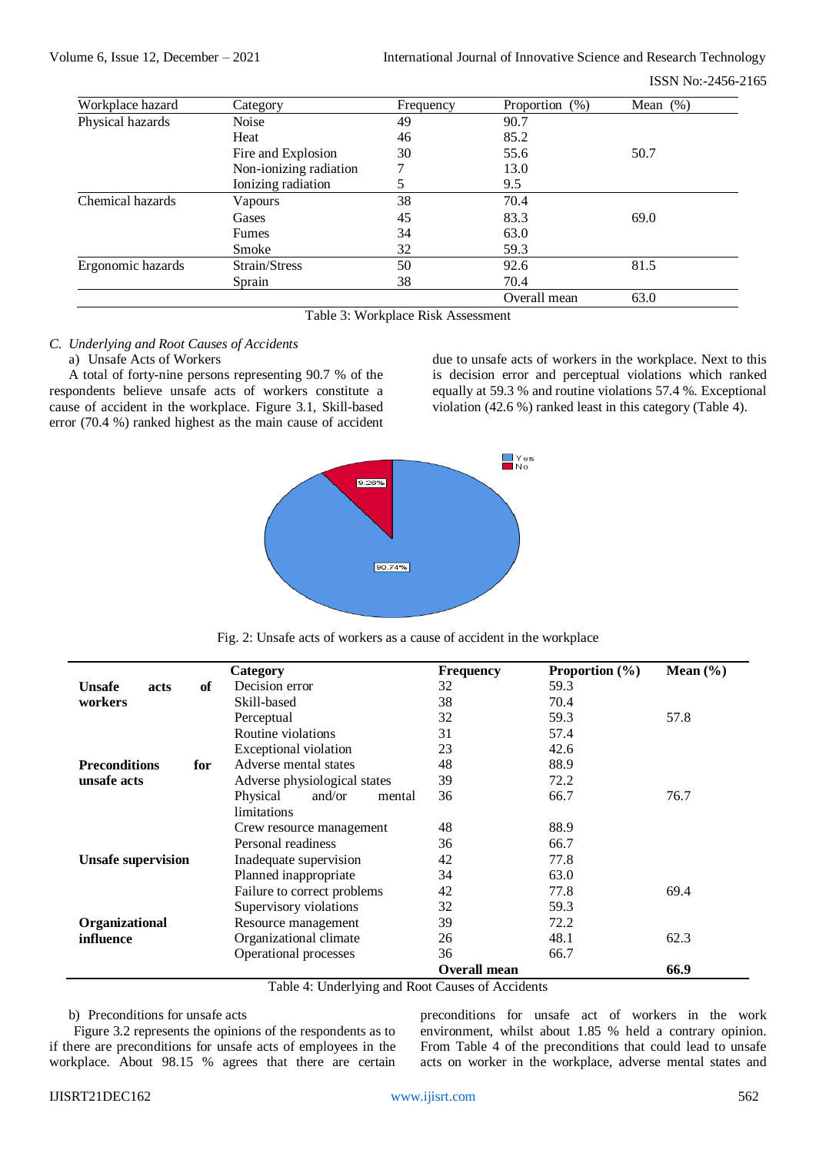| Workplace hazard  | Category               | Frequency | (% )<br>Proportion | Mean $(\%)$ |
|-------------------|------------------------|-----------|--------------------|-------------|
| Physical hazards  | Noise                  | 49        | 90.7               |             |
|                   | Heat                   | 46        | 85.2               |             |
|                   | Fire and Explosion     | 30        | 55.6               | 50.7        |
|                   | Non-ionizing radiation |           | 13.0               |             |
|                   | Ionizing radiation     | 5         | 9.5                |             |
| Chemical hazards  | Vapours                | 38        | 70.4               |             |
|                   | Gases                  | 45        | 83.3               | 69.0        |
|                   | Fumes                  | 34        | 63.0               |             |
|                   | Smoke                  | 32        | 59.3               |             |
| Ergonomic hazards | Strain/Stress          | 50        | 92.6               | 81.5        |
|                   | Sprain                 | 38        | 70.4               |             |
|                   |                        |           | Overall mean       | 63.0        |

Table 3: Workplace Risk Assessment

## *C. Underlying and Root Causes of Accidents*

### a) Unsafe Acts of Workers

A total of forty-nine persons representing 90.7 % of the respondents believe unsafe acts of workers constitute a cause of accident in the workplace. Figure 3.1, Skill-based error (70.4 %) ranked highest as the main cause of accident due to unsafe acts of workers in the workplace. Next to this is decision error and perceptual violations which ranked equally at 59.3 % and routine violations 57.4 %. Exceptional violation (42.6 %) ranked least in this category (Table 4).



Fig. 2: Unsafe acts of workers as a cause of accident in the workplace

|                             | Category                     | <b>Frequency</b>    | Proportion $(\% )$ | Mean $(\% )$ |
|-----------------------------|------------------------------|---------------------|--------------------|--------------|
| of<br>Unsafe<br>acts        | Decision error               | 32                  | 59.3               |              |
| workers                     | Skill-based                  | 38                  | 70.4               |              |
|                             | Perceptual                   | 32                  | 59.3               | 57.8         |
|                             | Routine violations           | 31                  | 57.4               |              |
|                             | Exceptional violation        | 23                  | 42.6               |              |
| <b>Preconditions</b><br>for | Adverse mental states        | 48                  | 88.9               |              |
| unsafe acts                 | Adverse physiological states | 39                  | 72.2               |              |
|                             | Physical<br>and/or<br>mental | 36                  | 66.7               | 76.7         |
|                             | limitations                  |                     |                    |              |
|                             | Crew resource management     | 48                  | 88.9               |              |
|                             | Personal readiness           | 36                  | 66.7               |              |
| <b>Unsafe supervision</b>   | Inadequate supervision       | 42                  | 77.8               |              |
|                             | Planned inappropriate        | 34                  | 63.0               |              |
|                             | Failure to correct problems  | 42                  | 77.8               | 69.4         |
|                             | Supervisory violations       | 32                  | 59.3               |              |
| Organizational              | Resource management          | 39                  | 72.2               |              |
| influence                   | Organizational climate       | 26                  | 48.1               | 62.3         |
|                             | Operational processes        | 36                  | 66.7               |              |
|                             |                              | <b>Overall mean</b> |                    | 66.9         |

Table 4: Underlying and Root Causes of Accidents

### b) Preconditions for unsafe acts

 Figure 3.2 represents the opinions of the respondents as to if there are preconditions for unsafe acts of employees in the workplace. About 98.15 % agrees that there are certain

preconditions for unsafe act of workers in the work environment, whilst about 1.85 % held a contrary opinion. From Table 4 of the preconditions that could lead to unsafe acts on worker in the workplace, adverse mental states and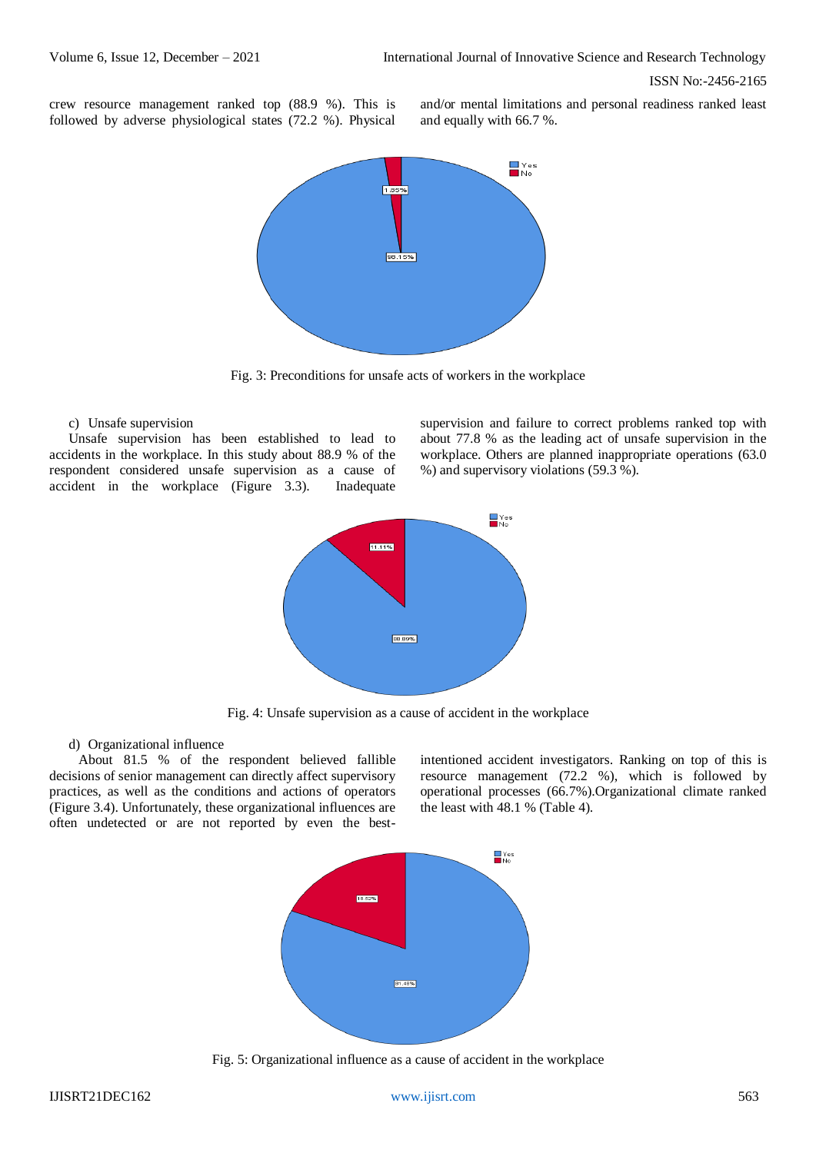crew resource management ranked top (88.9 %). This is followed by adverse physiological states (72.2 %). Physical

and/or mental limitations and personal readiness ranked least and equally with 66.7 %.



Fig. 3: Preconditions for unsafe acts of workers in the workplace

## c) Unsafe supervision

Unsafe supervision has been established to lead to accidents in the workplace. In this study about 88.9 % of the respondent considered unsafe supervision as a cause of accident in the workplace (Figure 3.3). Inadequate

supervision and failure to correct problems ranked top with about 77.8 % as the leading act of unsafe supervision in the workplace. Others are planned inappropriate operations (63.0 %) and supervisory violations (59.3 %).



Fig. 4: Unsafe supervision as a cause of accident in the workplace

### d) Organizational influence

About 81.5 % of the respondent believed fallible decisions of senior management can directly affect supervisory practices, as well as the conditions and actions of operators (Figure 3.4). Unfortunately, these organizational influences are often undetected or are not reported by even the bestintentioned accident investigators. Ranking on top of this is resource management (72.2 %), which is followed by operational processes (66.7%).Organizational climate ranked the least with 48.1 % (Table 4).



Fig. 5: Organizational influence as a cause of accident in the workplace